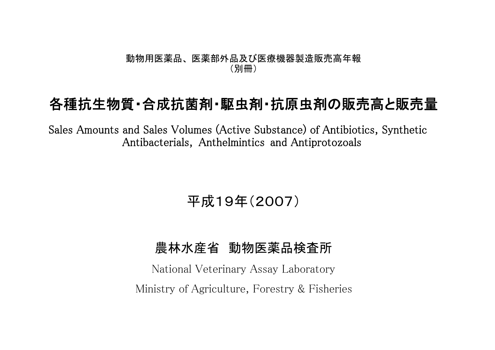## 動物用医薬品、 医薬部外品及び医療機器製造販売高年報 (別冊)

## 各種抗生物質・合成抗菌剤・駆虫剤・抗原虫剤の販売高と販売量

Sales Amounts and Sales Volumes (Active Substance) of Antibiotics, Synthetic Antibacterials, Anthelmintics and Antiprotozoals

平成19年(2007)

## 農林水産省 動物医薬品検査所

National Veterinary Assay Laboratory Ministry of Agriculture, Forestry & Fisheries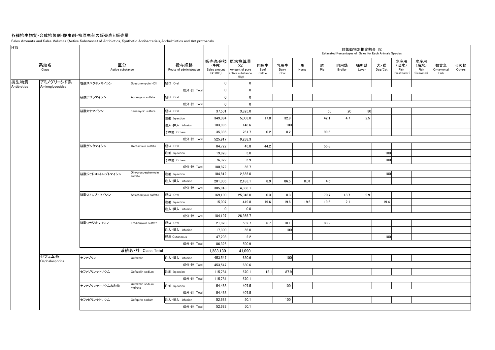## 各種抗生物質・合成抗菌剤・駆虫剤・抗原虫剤の販売高と販売量

Sales Amounts and Sales Volumes (Active Substance) of Antibiotics, Synthetic Antibacterials, Anthelmintics and Antiprotozoals

| H <sub>19</sub> |                         |                        |                                |                                 |                                    |                                                                   |                       |                     |            |          |                       | 対象動物別推定割合 (%) | Estimated Percentages of Sales for Each Animals Species |                                   |                                   |                           |               |
|-----------------|-------------------------|------------------------|--------------------------------|---------------------------------|------------------------------------|-------------------------------------------------------------------|-----------------------|---------------------|------------|----------|-----------------------|---------------|---------------------------------------------------------|-----------------------------------|-----------------------------------|---------------------------|---------------|
|                 | 系統名<br>Class            | 区分<br>Active substance |                                | 投与経路<br>Route of administration | (千円)<br>Sales amount<br>$(*1,000)$ | 販売高金額 原末換算量<br>(Kg)<br>Amount of pure<br>active substance<br>(Kg) | 肉用牛<br>Beef<br>Cattle | 乳用牛<br>Dairy<br>Cow | 馬<br>Horse | 豚<br>Pig | 肉用鶏<br><b>Broiler</b> | 採卵鶏<br>Layer  | 犬・猫<br>$\mathsf{Dog}/\mathsf{Cat}$                      | 水産用<br>(淡水)<br>Fish<br>Freshwater | 水産用<br>(海水)<br>Fish<br>(Seawater) | 観賞魚<br>Ornamental<br>Fish | その他<br>Others |
| 抗生物質            | アミノグリコシド系               | 塩酸スペクチノマイシン            | Spectinomycin HCI              | 経口 Oral                         | $\mathbf{0}$                       | $\mathbf 0$                                                       |                       |                     |            |          |                       |               |                                                         |                                   |                                   |                           |               |
| Antibiotics     | Aminoglycosides         |                        |                                | 成分·計 Total                      | 0                                  | $\mathbf 0$                                                       |                       |                     |            |          |                       |               |                                                         |                                   |                                   |                           |               |
|                 |                         | 硫酸アプラマイシン              | Apramycin sulfate              | 経口 Oral                         | $\mathbf 0$                        | $\mathbf 0$                                                       |                       |                     |            |          |                       |               |                                                         |                                   |                                   |                           |               |
|                 |                         |                        |                                | 成分·計 Total                      | $\mathbf 0$                        | $\mathbf 0$                                                       |                       |                     |            |          |                       |               |                                                         |                                   |                                   |                           |               |
|                 |                         | 硫酸カナマイシン               | Kanamycin sulfate              | 経口 Oral                         | 37,501                             | 3,825.0                                                           |                       |                     |            | 50       | 20                    | 30            |                                                         |                                   |                                   |                           |               |
|                 |                         |                        |                                | 注射 Injection                    | 349,084                            | 5,003.0                                                           | 17.8                  | 32.9                |            | 42.1     | 4.7                   | 2.5           |                                                         |                                   |                                   |                           |               |
|                 |                         |                        |                                | 注入·挿入 Infusion                  | 103,996                            | 148.6                                                             |                       | 100                 |            |          |                       |               |                                                         |                                   |                                   |                           |               |
|                 |                         |                        |                                | その他 Others                      | 35,336                             | 261.7                                                             | 0.2                   | 0.2                 |            | 99.6     |                       |               |                                                         |                                   |                                   |                           |               |
|                 |                         |                        |                                | 成分·計 Total                      | 525,917                            | 9,238.3                                                           |                       |                     |            |          |                       |               |                                                         |                                   |                                   |                           |               |
|                 |                         | 硫酸ゲンタマイシン              | Gentamicin sulfate             | 経口 Oral                         | 84,722                             | 45.8                                                              | 44.2                  |                     |            | 55.8     |                       |               |                                                         |                                   |                                   |                           |               |
|                 |                         |                        |                                | 注射 Injection                    | 19,828                             | 5.0                                                               |                       |                     |            |          |                       |               | 100                                                     |                                   |                                   |                           |               |
|                 |                         |                        |                                | その他 Others                      | 76,322                             | 5.9                                                               |                       |                     |            |          |                       |               | 100                                                     |                                   |                                   |                           |               |
|                 |                         |                        |                                | 成分·計 Total                      | 180,872                            | 56.7                                                              |                       |                     |            |          |                       |               |                                                         |                                   |                                   |                           |               |
|                 |                         | 硫酸ジヒドロストレプトマイシン        | Dihydrostreptomycin<br>sulfate | 注射 Injection                    | 104,812                            | 2,655.0                                                           |                       |                     |            |          |                       |               | 100                                                     |                                   |                                   |                           |               |
|                 |                         |                        |                                | 注入·挿入 Infusion                  | 201,006                            | 2,183.1                                                           | 8.9                   | 86.5                | 0.01       | 4.5      |                       |               |                                                         |                                   |                                   |                           |               |
|                 |                         |                        |                                | 成分·計 Total                      | 305,818                            | 4,838.1                                                           |                       |                     |            |          |                       |               |                                                         |                                   |                                   |                           |               |
|                 |                         | 硫酸ストレプトマイシン            | Streptomycin sulfate           | 経口 Oral                         | 169,190                            | 25,946.0                                                          | 0.3                   | 0.3                 |            | 70.7     | 18.7                  | 9.9           |                                                         |                                   |                                   |                           |               |
|                 |                         |                        |                                | 注射 Injection                    | 15,007                             | 419.8                                                             | 19.6                  | 19.6                | 19.6       | 19.6     | 2.1                   |               | 19.4                                                    |                                   |                                   |                           |               |
|                 |                         |                        |                                | 注入·挿入 Infusion                  | $\mathbf 0$                        | 0.0                                                               |                       |                     |            |          |                       |               |                                                         |                                   |                                   |                           |               |
|                 |                         |                        |                                | 成分·計 Total                      | 184,197                            | 26,365.7                                                          |                       |                     |            |          |                       |               |                                                         |                                   |                                   |                           |               |
|                 |                         | 硫酸フラジオマイシン             | Fradiomycin sulfate            | 経口 Oral                         | 21,823                             | 532.7                                                             | 6.7                   | 10.1                |            | 83.2     |                       |               |                                                         |                                   |                                   |                           |               |
|                 |                         |                        |                                | 注入·挿入 Infusion                  | 17,300                             | 56.0                                                              |                       | 100                 |            |          |                       |               |                                                         |                                   |                                   |                           |               |
|                 |                         |                        |                                | 経皮 Cutaneous                    | 47,203                             | 2.2                                                               |                       |                     |            |          |                       |               | 100                                                     |                                   |                                   |                           |               |
|                 |                         |                        |                                | 成分·計 Total                      | 86,326                             | 590.9                                                             |                       |                     |            |          |                       |               |                                                         |                                   |                                   |                           |               |
|                 |                         |                        | 系統名·計 Class Total              |                                 | 1,283,130                          | 41,090                                                            |                       |                     |            |          |                       |               |                                                         |                                   |                                   |                           |               |
|                 | セフェム系<br>Cephalosporins | セファゾリン                 | Cefazolin                      | 注入·挿入 Infusion                  | 453,547                            | 630.6                                                             |                       | 100                 |            |          |                       |               |                                                         |                                   |                                   |                           |               |
|                 |                         |                        |                                | 成分·計 Total                      | 453,547                            | 630.6                                                             |                       |                     |            |          |                       |               |                                                         |                                   |                                   |                           |               |
|                 |                         | セファゾリンナトリウム            | Cefazolin sodium               | 注射 Injection                    | 115,784                            | 670.1                                                             | 12.1                  | 87.9                |            |          |                       |               |                                                         |                                   |                                   |                           |               |
|                 |                         |                        |                                | 成分·計 Total                      | 115,784                            | 670.1                                                             |                       |                     |            |          |                       |               |                                                         |                                   |                                   |                           |               |
|                 |                         | セファゾリンナトリウム水和物         | Cefazolin sodium<br>hydrate    | 注射 Injection                    | 54,468                             | 407.5                                                             |                       | 100                 |            |          |                       |               |                                                         |                                   |                                   |                           |               |
|                 |                         |                        |                                | 成分·計 Total                      | 54,468                             | 407.5                                                             |                       |                     |            |          |                       |               |                                                         |                                   |                                   |                           |               |
|                 |                         | セファピリンナトリウム            | Cefapirin sodium               | 注入·挿入 Infusion                  | 52,683                             | 50.1                                                              |                       | 100                 |            |          |                       |               |                                                         |                                   |                                   |                           |               |
|                 |                         |                        |                                | 成分·計 Total                      | 52.683                             | 50.1                                                              |                       |                     |            |          |                       |               |                                                         |                                   |                                   |                           |               |
|                 |                         |                        |                                |                                 |                                    |                                                                   |                       |                     |            |          |                       |               |                                                         |                                   |                                   |                           |               |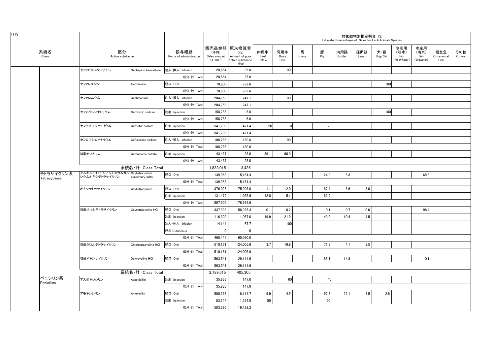|               |                                                     |                       |                                 |                                  |                                                                   |                       |                     |            |          | Estimated Percentages of Sales for Each Animals Species | 対象動物別推定割合 (%) |                |                                    |                                   |                           |               |
|---------------|-----------------------------------------------------|-----------------------|---------------------------------|----------------------------------|-------------------------------------------------------------------|-----------------------|---------------------|------------|----------|---------------------------------------------------------|---------------|----------------|------------------------------------|-----------------------------------|---------------------------|---------------|
| 系統名<br>Class  | 区分<br>Active substance                              |                       | 投与経路<br>Route of administration | (千円)<br>Sales amount<br>(41,000) | 販売高金額 原末換算量<br>(Kg)<br>Amount of pure<br>active substance<br>(Kg) | 肉用牛<br>Beef<br>Cattle | 乳用牛<br>Dairy<br>Cow | 馬<br>Horse | 豚<br>Pig | 肉用鶏<br>Broiler                                          | 採卵鶏<br>Layer  | 犬・猫<br>Dog/Cat | 水産用<br>(淡水)<br>Fish<br>Freshwater) | 水産用<br>(海水)<br>Fish<br>(Seawater) | 観賞魚<br>Ornamental<br>Fish | その他<br>Others |
|               | セファピリンベンザチン                                         | Cephapirin benzathine | 注入·挿入 Infusion                  | 28,664                           | 35.0                                                              |                       | 100                 |            |          |                                                         |               |                |                                    |                                   |                           |               |
|               |                                                     |                       | 成分·計 Total                      | 28.664                           | 35.0                                                              |                       |                     |            |          |                                                         |               |                |                                    |                                   |                           |               |
|               | セファレキシン                                             | Cephalexin            | 経口 Oral                         | 70,900                           | 789.6                                                             |                       |                     |            |          |                                                         |               | 100            |                                    |                                   |                           |               |
|               |                                                     |                       | 成分·計 Total                      | 70,900                           | 789.6                                                             |                       |                     |            |          |                                                         |               |                |                                    |                                   |                           |               |
|               | セファロニウム                                             | Cephalonium           | 注入·挿入 Infusion                  | 204.753                          | 247.1                                                             |                       | 100                 |            |          |                                                         |               |                |                                    |                                   |                           |               |
|               |                                                     |                       | 成分·計 Total                      | 204,753                          | 247.1                                                             |                       |                     |            |          |                                                         |               |                |                                    |                                   |                           |               |
|               | セフォベシンナトリウム                                         | Cefovecin sodium      | 注射 Injection                    | 158,785                          | 6.0                                                               |                       |                     |            |          |                                                         |               | 100            |                                    |                                   |                           |               |
|               |                                                     |                       | 成分·計 Total                      | 158,785                          | 6.0                                                               |                       |                     |            |          |                                                         |               |                |                                    |                                   |                           |               |
|               | セフチオフルナトリウム                                         | Ceftiofur sodium      | 注射 Injection                    | 541.709                          | 421.4                                                             | 20 <sup>1</sup>       | 10                  |            | 70       |                                                         |               |                |                                    |                                   |                           |               |
|               |                                                     |                       | 成分·計 Total                      | 541,709                          | 421.4                                                             |                       |                     |            |          |                                                         |               |                |                                    |                                   |                           |               |
|               | セフロキシムナトリウム                                         | Cefuroxime sodium     | 注入·挿入 Infusion                  | 108.285                          | 150.6                                                             |                       | 100                 |            |          |                                                         |               |                |                                    |                                   |                           |               |
|               |                                                     |                       | 成分·計 Total                      | 108,285                          | 150.6                                                             |                       |                     |            |          |                                                         |               |                |                                    |                                   |                           |               |
|               | 硫酸セフキノム                                             | Cefquinome sulfate    | 注射 Injection                    | 43,437                           | 28.0                                                              | 39.1                  | 60.9                |            |          |                                                         |               |                |                                    |                                   |                           |               |
|               |                                                     |                       | 成分·計 Total                      | 43,437                           | 28.0                                                              |                       |                     |            |          |                                                         |               |                |                                    |                                   |                           |               |
|               |                                                     | 系統名·計 Class Total     |                                 | 1,833,015                        | 3,436                                                             |                       |                     |            |          |                                                         |               |                |                                    |                                   |                           |               |
| テトラサイクリン系     | アルキルトリメチルアンモニウムカル Oxytetracycline<br>シウムオキシテトラサイクリン | quaternary salts      | 経口 Oral                         | 139.963                          | 15,164.4                                                          |                       |                     |            | 24.9     | 5.3                                                     |               |                |                                    | 69.8                              |                           |               |
| Tetracyclines |                                                     |                       | 成分·計 Total                      | 139,963                          | 15,164.4                                                          |                       |                     |            |          |                                                         |               |                |                                    |                                   |                           |               |
|               | オキシテトラサイクリン                                         | Oxytetracycline       | 経口 Oral                         | 376,026                          | 175,908.0                                                         | 1.1                   | 2.0                 |            | 87.4     | 6.6                                                     | 3.0           |                |                                    |                                   |                           |               |
|               |                                                     |                       | 注射 Injection                    | 131,479                          | 1,055.6                                                           | 12.0                  | 5.1                 |            | 82.9     |                                                         |               |                |                                    |                                   |                           |               |
|               |                                                     |                       | 成分·計 Total                      | 507,505                          | 176,963.6                                                         |                       |                     |            |          |                                                         |               |                |                                    |                                   |                           |               |
|               | 塩酸オキシテトラサイクリン                                       | Oxytetracycline HCI   | 経口 Oral                         | 337,992                          | 58,925.3                                                          | 0.1                   | 0.2                 |            | 0.1      | 0.7                                                     | 0.6           |                |                                    | 98.4                              |                           |               |
|               |                                                     |                       | 注射 Injection                    | 116,309                          | 1,067.0                                                           | 19.9                  | 21.9                |            | 43.2     | 10.4                                                    | 4.5           |                |                                    |                                   |                           |               |
|               |                                                     |                       | 注入·挿入 Infusion                  | 14,144                           | 67.7                                                              |                       | 100                 |            |          |                                                         |               |                |                                    |                                   |                           |               |
|               |                                                     |                       | 経皮 Cutaneous                    | $\mathbf 0$                      | $\mathbf 0$                                                       |                       |                     |            |          |                                                         |               |                |                                    |                                   |                           |               |
|               |                                                     |                       | 成分·計 Total                      | 468,445                          | 60,060.0                                                          |                       |                     |            |          |                                                         |               |                |                                    |                                   |                           |               |
|               | 塩酸クロルテトラサイクリン                                       | Chlortetracycline HCI | 経口 Oral                         | 510,161                          | 124,005.6                                                         | 3.7                   | 16.9                |            | 71.8     | 4.1                                                     | 3.5           |                |                                    |                                   |                           |               |
|               |                                                     |                       | 成分·計 Total                      | 510,161                          | 124,005.6                                                         |                       |                     |            |          |                                                         |               |                |                                    |                                   |                           |               |
|               | 塩酸ドキシサイクリン                                          | Doxycycline HCI       | 経口 Oral                         | 563,541                          | 29,111.6                                                          |                       |                     |            | 85.1     | 14.8                                                    |               |                |                                    | 0.1                               |                           |               |
|               |                                                     |                       | 成分·計 Total                      | 563,541                          | 29,111.6                                                          |                       |                     |            |          |                                                         |               |                |                                    |                                   |                           |               |
|               |                                                     | 系統名·計 Class Total     |                                 | 2,189,615                        | 405,305                                                           |                       |                     |            |          |                                                         |               |                |                                    |                                   |                           |               |
| ペニシリン系        | アスポキシシリン                                            | Aspoxicillin          | 注射 Injection                    | 35,836                           | 147.0                                                             |                       | 60                  |            | 40       |                                                         |               |                |                                    |                                   |                           |               |
| Penicillins   |                                                     |                       | 成分·計 Total                      | 35,836                           | 147.0                                                             |                       |                     |            |          |                                                         |               |                |                                    |                                   |                           |               |
|               | アモキシシリン                                             | Amoxicillin           | 経口 Oral                         | 500,336                          | 18,114.7                                                          | 5.9                   | 4.5                 |            | 57.3     | 22.1                                                    | 7.5           | 2.6            |                                    |                                   |                           |               |
|               |                                                     |                       | 注射 Injection                    | 83,244                           | 1,314.5                                                           | 50                    |                     |            | 50       |                                                         |               |                |                                    |                                   |                           |               |
|               |                                                     |                       | 成分·計 Total                      | 583,580                          | 19,429.2                                                          |                       |                     |            |          |                                                         |               |                |                                    |                                   |                           |               |
|               |                                                     |                       |                                 |                                  |                                                                   |                       |                     |            |          |                                                         |               |                |                                    |                                   |                           |               |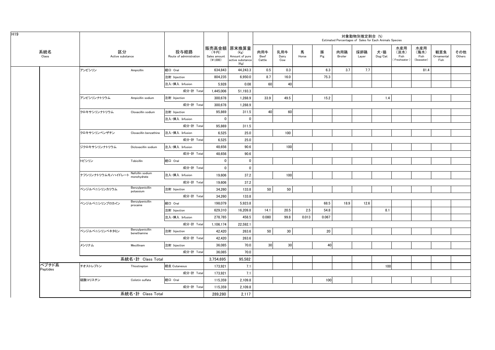|                   |                        |                                 |                                 |                                  | 対象動物別推定割合 (%)<br>Estimated Percentages of Sales for Each Animals Species |                       |                     |            |          |                |              |                |                                    |                                   |                           |               |
|-------------------|------------------------|---------------------------------|---------------------------------|----------------------------------|--------------------------------------------------------------------------|-----------------------|---------------------|------------|----------|----------------|--------------|----------------|------------------------------------|-----------------------------------|---------------------------|---------------|
| 系統名<br>Class      | 区分<br>Active substance |                                 | 投与経路<br>Route of administration | (千円)<br>Sales amount<br>(41,000) | 販売高金額 原末換算量<br>(Kg)<br>Amount of pure<br>active substance<br>(Kg)        | 肉用牛<br>Beef<br>Cattle | 乳用牛<br>Dairy<br>Cow | 馬<br>Horse | 豚<br>Pig | 肉用鶏<br>Broiler | 採卵鶏<br>Layer | 犬・猫<br>Dog/Cat | 水産用<br>(淡水)<br>Fish<br>Freshwater) | 水産用<br>(海水)<br>Fish<br>(Seawater) | 観賞魚<br>Ornamental<br>Fish | その他<br>Others |
|                   | アンピシリン                 | Ampicillin                      | 経口 Oral                         | 634.843                          | 44,243.3                                                                 | 0.5                   | 0.3                 |            | 6.3      | 3.7            | 7.7          |                |                                    | 81.4                              |                           |               |
|                   |                        |                                 | 注射 Injection                    | 804,235                          | 6,950.0                                                                  | 8.7                   | 16.0                |            | 75.3     |                |              |                |                                    |                                   |                           |               |
|                   |                        |                                 | 注入·挿入 Infusion                  | 5,928                            | 0.08                                                                     | 60                    | 40                  |            |          |                |              |                |                                    |                                   |                           |               |
|                   |                        |                                 | 成分·計 Total                      | 1,445,006                        | 51,193.3                                                                 |                       |                     |            |          |                |              |                |                                    |                                   |                           |               |
|                   | アンピシリンナトリウム            | Ampicillin sodium               | 注射 Injection                    | 300.678                          | 1.288.9                                                                  | 33.9                  | 49.5                |            | 15.2     |                |              | 1.4            |                                    |                                   |                           |               |
|                   |                        |                                 | 成分·計 Total                      | 300,678                          | 1,288.9                                                                  |                       |                     |            |          |                |              |                |                                    |                                   |                           |               |
|                   | クロキサシリンナトリウム           | Cloxacillin sodium              | 注射 Injection                    | 95,869                           | 311.5                                                                    | 40                    | 60                  |            |          |                |              |                |                                    |                                   |                           |               |
|                   |                        |                                 | 注入·挿入 Infusion                  | 0                                | $\mathbf 0$                                                              |                       |                     |            |          |                |              |                |                                    |                                   |                           |               |
|                   |                        |                                 | 成分·計 Total                      | 95,869                           | 311.5                                                                    |                       |                     |            |          |                |              |                |                                    |                                   |                           |               |
|                   | クロキサシリンベンザチン           | Cloxacillin benzathine          | 注入·挿入 Infusion                  | 6,525                            | 25.0                                                                     |                       | 100                 |            |          |                |              |                |                                    |                                   |                           |               |
|                   |                        |                                 | 成分·計 Total                      | 6,525                            | 25.0                                                                     |                       |                     |            |          |                |              |                |                                    |                                   |                           |               |
|                   | ジクロキサシリンナトリウム          | Dicloxacillin sodium            | 注入·挿入 Infusion                  | 48,656                           | 90.6                                                                     |                       | 100                 |            |          |                |              |                |                                    |                                   |                           |               |
|                   |                        |                                 | 成分·計 Total                      | 48,656                           | 90.6                                                                     |                       |                     |            |          |                |              |                |                                    |                                   |                           |               |
|                   | トビシリン                  | Tobicillin                      | 経口 Oral                         | 0                                | $\mathbf 0$                                                              |                       |                     |            |          |                |              |                |                                    |                                   |                           |               |
|                   |                        |                                 | 成分·計 Total                      | $\Omega$                         | $\mathbf{0}$                                                             |                       |                     |            |          |                |              |                |                                    |                                   |                           |               |
|                   | ナフシリンナトリウムモノハイドレート     | Nafcillin sodium<br>monohydrate | 注入·挿入 Infusion                  | 19,606                           | 37.2                                                                     |                       | 100                 |            |          |                |              |                |                                    |                                   |                           |               |
|                   |                        |                                 | 成分·計 Total                      | 19,606                           | 37.2                                                                     |                       |                     |            |          |                |              |                |                                    |                                   |                           |               |
|                   | ベンジルペニシリンカリウム          | Benzylpenicillin<br>potassium   | 注射 Injection                    | 34,260                           | 133.8                                                                    | 50                    | 50                  |            |          |                |              |                |                                    |                                   |                           |               |
|                   |                        |                                 | 成分·計 Total                      | 34.260                           | 133.8                                                                    |                       |                     |            |          |                |              |                |                                    |                                   |                           |               |
|                   | ベンジルペニシリンプロカイン         | Benzylpenicillin<br>procaine    | 経口 Oral                         | 198,079                          | 5,923.8                                                                  |                       |                     |            | 68.5     | 18.9           | 12.6         |                |                                    |                                   |                           |               |
|                   |                        |                                 | 注射 Injection                    | 629,310                          | 16,209.8                                                                 | 14.1                  | 20.5                | 2.5        | 54.8     |                |              | 8.1            |                                    |                                   |                           |               |
|                   |                        |                                 | 注入·挿入 Infusion                  | 278,785                          | 458.5                                                                    | 0.080                 | 99.8                | 0.013      | 0.067    |                |              |                |                                    |                                   |                           |               |
|                   |                        |                                 | 成分·計 Total                      | 1,106,174                        | 22,592.1                                                                 |                       |                     |            |          |                |              |                |                                    |                                   |                           |               |
|                   | ベンジルペニシリンベネタミン         | Benzylpenicillin<br>benethamine | 注射 Injection                    | 42,420                           | 263.6                                                                    | 50                    | 30                  |            | 20       |                |              |                |                                    |                                   |                           |               |
|                   |                        |                                 | 成分·計 Total                      | 42.420                           | 263.6                                                                    |                       |                     |            |          |                |              |                |                                    |                                   |                           |               |
|                   | メシリナム                  | Mecillinam                      | 注射 Injection                    | 36,085                           | 70.0                                                                     | 30                    | 30                  |            | 40       |                |              |                |                                    |                                   |                           |               |
|                   |                        |                                 | 成分·計 Total                      | 36,085                           | 70.0                                                                     |                       |                     |            |          |                |              |                |                                    |                                   |                           |               |
|                   |                        | 系統名·計 Class Total               |                                 | 3,754,695                        | 95,582                                                                   |                       |                     |            |          |                |              |                |                                    |                                   |                           |               |
| ペプチド系<br>Peptides | チオストレプトン               | Thiostrepton                    | 経皮 Cutaneous                    | 173,921                          | 7.1                                                                      |                       |                     |            |          |                |              | 100            |                                    |                                   |                           |               |
|                   |                        |                                 | 成分·計 Total                      | 173,921                          | 7.1                                                                      |                       |                     |            |          |                |              |                |                                    |                                   |                           |               |
|                   | 硫酸コリスチン                | Colistin sulfate                | 経口 Oral                         | 115,359                          | 2,109.8                                                                  |                       |                     |            | 100      |                |              |                |                                    |                                   |                           |               |
|                   |                        |                                 | 成分·計 Total                      | 115,359                          | 2,109.8                                                                  |                       |                     |            |          |                |              |                |                                    |                                   |                           |               |
|                   |                        | 系統名·計 Class Total               |                                 |                                  | 2,117                                                                    |                       |                     |            |          |                |              |                |                                    |                                   |                           |               |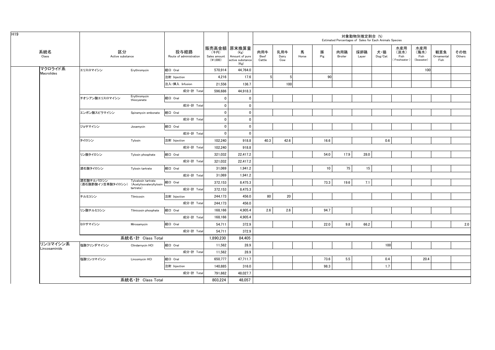|                              |                                                         |                             |                                 |                                  |                                                                   |                       |                     |            | Estimated Percentages of Sales for Each Animals Species | 対象動物別推定割合 (%)  |              |                |                                   |                                   |                           |               |
|------------------------------|---------------------------------------------------------|-----------------------------|---------------------------------|----------------------------------|-------------------------------------------------------------------|-----------------------|---------------------|------------|---------------------------------------------------------|----------------|--------------|----------------|-----------------------------------|-----------------------------------|---------------------------|---------------|
| 系統名<br>Class                 | 区分<br>Active substance                                  |                             | 投与経路<br>Route of administration | (千円)<br>Sales amount<br>(41,000) | 販売高金額 原末換算量<br>(Kg)<br>Amount of pure<br>active substance<br>(Kg) | 肉用牛<br>Beef<br>Cattle | 乳用牛<br>Dairy<br>Cow | 馬<br>Horse | 豚<br>Pig                                                | 肉用鶏<br>Broiler | 採卵鶏<br>Layer | 犬・猫<br>Dog/Cat | 水産用<br>(淡水)<br>Fish<br>Freshwater | 水産用<br>(海水)<br>Fish<br>(Seawater) | 観賞魚<br>Ornamental<br>Fish | その他<br>Others |
| マクロライド系<br><b>Macrolides</b> | エリスロマイシン                                                | Erythromycin                | 経口 Oral                         | 570,914                          | 44,764.0                                                          |                       |                     |            |                                                         |                |              |                |                                   | 100                               |                           |               |
|                              |                                                         |                             | 注射 Injection                    | 4,216                            | 17.6                                                              |                       | 5 <sub>5</sub>      |            | 90                                                      |                |              |                |                                   |                                   |                           |               |
|                              |                                                         |                             | 注入·挿入 Infusion                  | 21,556                           | 136.7                                                             |                       | 100                 |            |                                                         |                |              |                |                                   |                                   |                           |               |
|                              |                                                         |                             | 成分·計 Total                      | 596,686                          | 44.918.3                                                          |                       |                     |            |                                                         |                |              |                |                                   |                                   |                           |               |
|                              | チオシアン酸エリスロマイシン                                          | Erythromycin<br>thiocyanate | 経口 Oral                         | $\mathbf 0$                      | $\mathbf 0$                                                       |                       |                     |            |                                                         |                |              |                |                                   |                                   |                           |               |
|                              |                                                         |                             | 成分·計 Total                      | $\mathbf 0$                      | $\mathbf 0$                                                       |                       |                     |            |                                                         |                |              |                |                                   |                                   |                           |               |
|                              | エンボン酸スピラマイシン                                            | Spiramycin embonate         | 経口 Oral                         | $\mathbf 0$                      | $\mathbf 0$                                                       |                       |                     |            |                                                         |                |              |                |                                   |                                   |                           |               |
|                              |                                                         |                             | 成分·計 Total                      | $\mathbf 0$                      | $\mathbf 0$                                                       |                       |                     |            |                                                         |                |              |                |                                   |                                   |                           |               |
|                              | ジョサマイシン                                                 | Josamycin                   | 経口 Oral                         | $\mathbf 0$                      | $\mathbf 0$                                                       |                       |                     |            |                                                         |                |              |                |                                   |                                   |                           |               |
|                              |                                                         |                             | 成分·計 Total                      | $\mathbf 0$                      | $\mathbf 0$                                                       |                       |                     |            |                                                         |                |              |                |                                   |                                   |                           |               |
|                              | タイロシン                                                   | Tylosin                     | 注射 Injection                    | 102,240                          | 918.8                                                             | 40.3                  | 42.6                |            | 16.6                                                    |                |              | 0.6            |                                   |                                   |                           |               |
|                              |                                                         |                             | 成分·計 Total                      | 102,240                          | 918.8                                                             |                       |                     |            |                                                         |                |              |                |                                   |                                   |                           |               |
|                              | リン酸タイロシン                                                | Tylosin phosphate           | 経口 Oral                         | 321,032                          | 22,417.2                                                          |                       |                     |            | 54.0                                                    | 17.9           | 28.0         |                |                                   |                                   |                           |               |
|                              |                                                         |                             | 成分·計 Total                      | 321,032                          | 22,417.2                                                          |                       |                     |            |                                                         |                |              |                |                                   |                                   |                           |               |
|                              | 酒石酸タイロシン                                                | Tylosin tartrate            | 経口 Oral                         | 31,069                           | 1,941.2                                                           |                       |                     |            | 10                                                      | 75             | 15           |                |                                   |                                   |                           |               |
|                              |                                                         |                             | 成分·計 Total                      | 31,069                           | 1,941.2                                                           |                       |                     |            |                                                         |                |              |                |                                   |                                   |                           |               |
|                              | 酒石酸チルバロシン<br>(酒石酸酢酸イソ吉草酸タイロシン) (Acetylisovaleryltylosin | Tylvalosin tartrate         | 経口 Oral                         | 372,153                          | 8,475.3                                                           |                       |                     |            | 73.3                                                    | 19.6           | 7.1          |                |                                   |                                   |                           |               |
|                              |                                                         | tartrate)                   | 成分·計 Total                      | 372,153                          | 8,475.3                                                           |                       |                     |            |                                                         |                |              |                |                                   |                                   |                           |               |
|                              | チルミコシン                                                  | Tilmicosin                  | 注射 Injection                    | 244,173                          | 456.0                                                             | 80                    | 20                  |            |                                                         |                |              |                |                                   |                                   |                           |               |
|                              |                                                         |                             | 成分·計 Total                      | 244,173                          | 456.0                                                             |                       |                     |            |                                                         |                |              |                |                                   |                                   |                           |               |
|                              | リン酸チルミコシン                                               | Tilmicosin phosphate        | 経口 Oral                         | 168,166                          | 4,905.4                                                           | 2.6                   | 2.6                 |            | 94.7                                                    |                |              |                |                                   |                                   |                           |               |
|                              |                                                         |                             | 成分·計 Total                      | 168,166                          | 4.905.4                                                           |                       |                     |            |                                                         |                |              |                |                                   |                                   |                           |               |
|                              | ミロサマイシン                                                 | Mirosamycin                 | 経口 Oral                         | 54,711                           | 372.9                                                             |                       |                     |            | 22.0                                                    | 9.8            | 66.2         |                |                                   |                                   |                           | 2.0           |
|                              |                                                         |                             | 成分·計 Total                      | 54,711                           | 372.9                                                             |                       |                     |            |                                                         |                |              |                |                                   |                                   |                           |               |
|                              |                                                         | 系統名·計 Class Total           |                                 | 1.890.230                        | 84,405                                                            |                       |                     |            |                                                         |                |              |                |                                   |                                   |                           |               |
| リンコマイシン系<br>Lincosaminids    | 塩酸クリンダマイシン                                              | Clindarnycin HCI            | 経口 Oral                         | 11,562                           | 28.9                                                              |                       |                     |            |                                                         |                |              | 100            |                                   |                                   |                           |               |
|                              |                                                         |                             | 成分·計 Total                      | 11,562                           | 28.9                                                              |                       |                     |            |                                                         |                |              |                |                                   |                                   |                           |               |
|                              | 塩酸リンコマイシン                                               | Lincomycin HCI              | 経口 Oral                         | 650,777                          | 47,711.7                                                          |                       |                     |            | 73.6                                                    | 5.5            |              | 0.4            |                                   | 20.4                              |                           |               |
|                              |                                                         |                             | 注射 Injection                    | 140,885                          | 316.0                                                             |                       |                     |            | 98.3                                                    |                |              | 1.7            |                                   |                                   |                           |               |
|                              |                                                         |                             | 成分·計 Total                      | 791,662                          | 48,027.7                                                          |                       |                     |            |                                                         |                |              |                |                                   |                                   |                           |               |
|                              |                                                         | 系統名·計 Class Total           |                                 | 803,224                          | 48,057                                                            |                       |                     |            |                                                         |                |              |                |                                   |                                   |                           |               |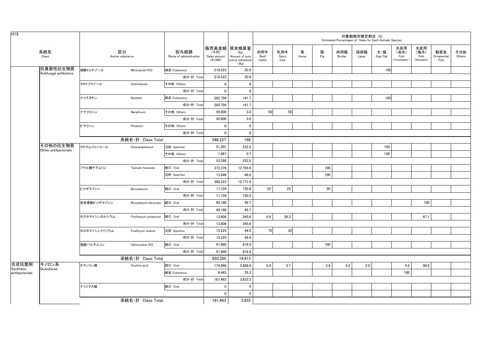| H <sub>19</sub>    |                                  |              |                        |                                 |                                  |                                                                   |                       |                     |            |          |                | 対象動物別推定割合 (%) | Estimated Percentages of Sales for Each Animals Species |                                     |                                   |                           |               |
|--------------------|----------------------------------|--------------|------------------------|---------------------------------|----------------------------------|-------------------------------------------------------------------|-----------------------|---------------------|------------|----------|----------------|---------------|---------------------------------------------------------|-------------------------------------|-----------------------------------|---------------------------|---------------|
|                    | 系統名<br>Class                     |              | 区分<br>Active substance | 投与経路<br>Route of administration | (千円)<br>Sales amount<br>(41,000) | 販売高金額 原末換算量<br>(Kg)<br>Amount of pure<br>active substance<br>(Kg) | 肉用牛<br>Beef<br>Cattle | 乳用牛<br>Dairy<br>Cow | 馬<br>Horse | 豚<br>Pig | 肉用鶏<br>Broiler | 採卵鶏<br>Layer  | 犬・猫<br>Dog/Cat                                          | 水産用<br>(淡水)<br>Fish<br>(Freshwater) | 水産用<br>(海水)<br>Fish<br>(Seawater) | 観賞魚<br>Ornamental<br>Fish | その他<br>Others |
|                    | 抗真菌性抗生物質                         | 硝酸ミコナゾール     | Miconazole HCI         | 経皮 Cutaneous                    | 218,523                          | 20.9                                                              |                       |                     |            |          |                |               | 100                                                     |                                     |                                   |                           |               |
|                    | Antifungal antibiotics           |              |                        | 成分·計 Total                      | 218,523                          | 20.9                                                              |                       |                     |            |          |                |               |                                                         |                                     |                                   |                           |               |
|                    |                                  | クロトリマゾール     | Clotrimazole           | その他 Others                      | $\mathbf 0$                      | $\mathbf 0$                                                       |                       |                     |            |          |                |               |                                                         |                                     |                                   |                           |               |
|                    |                                  |              |                        | 成分·計 Total                      | $\mathbf 0$                      | $\mathbf 0$                                                       |                       |                     |            |          |                |               |                                                         |                                     |                                   |                           |               |
|                    |                                  | ナイスタチン       | Nystatin               | 経皮 Cutaneous                    | 282,704                          | 141.7                                                             |                       |                     |            |          |                |               | 100                                                     |                                     |                                   |                           |               |
|                    |                                  |              |                        | 成分·計 Total                      | 282,704                          | 141.7                                                             |                       |                     |            |          |                |               |                                                         |                                     |                                   |                           |               |
|                    |                                  | ナナフロシン       | Nanafrocin             | その他 Others                      | 45,000                           | 3.0                                                               | 50                    | 50                  |            |          |                |               |                                                         |                                     |                                   |                           |               |
|                    |                                  |              |                        | 成分·計 Total                      | 45,000                           | $3.0\,$                                                           |                       |                     |            |          |                |               |                                                         |                                     |                                   |                           |               |
|                    |                                  | ピマリシン        | Pimaricin              | その他 Others                      | $\mathbf 0$                      | $\mathbf 0$                                                       |                       |                     |            |          |                |               |                                                         |                                     |                                   |                           |               |
|                    |                                  |              |                        | 成分·計 Total                      | $\mathbf 0$                      | $\mathbf{0}$                                                      |                       |                     |            |          |                |               |                                                         |                                     |                                   |                           |               |
|                    |                                  |              | 系統名·計 Class Total      |                                 | 546,227                          | 166                                                               |                       |                     |            |          |                |               |                                                         |                                     |                                   |                           |               |
|                    | その他の抗生物質<br>Other antibacterials | クロラムフェニコール   | Chloramphenicol        | 注射 Injection                    | 51,301                           | 232.8                                                             |                       |                     |            |          |                |               | 100                                                     |                                     |                                   |                           |               |
|                    |                                  |              |                        | その他 Others                      | 1,987                            | 0.7                                                               |                       |                     |            |          |                |               | 100                                                     |                                     |                                   |                           |               |
|                    |                                  |              |                        | 成分·計 Total                      | 53,288                           | 233.5                                                             |                       |                     |            |          |                |               |                                                         |                                     |                                   |                           |               |
|                    |                                  | フマル酸チアムリン    | Tiamulin fumarate      | 経口 Oral                         | 372,376                          | 12,705.6                                                          |                       |                     |            | 100      |                |               |                                                         |                                     |                                   |                           |               |
|                    |                                  |              |                        | 注射 Injection                    | 13,846                           | 66.0                                                              |                       |                     |            | 100      |                |               |                                                         |                                     |                                   |                           |               |
|                    |                                  |              |                        | 成分·計 Total                      | 386,222                          | 12,771.6                                                          |                       |                     |            |          |                |               |                                                         |                                     |                                   |                           |               |
|                    |                                  | ビコザマイシン      | Bicozamycin            | 経口 Oral                         | 11,159                           | 150.8                                                             | 25                    | 25                  |            | 50       |                |               |                                                         |                                     |                                   |                           |               |
|                    |                                  |              |                        | 成分·計 Total                      | 11,159                           | 150.8                                                             |                       |                     |            |          |                |               |                                                         |                                     |                                   |                           |               |
|                    |                                  | 安息香酸ビコザマイシン  | Bicozamycin benzoate   | 経口 Oral                         | 49.188                           | 49.7                                                              |                       |                     |            |          |                |               |                                                         |                                     | 100                               |                           |               |
|                    |                                  |              |                        | 成分·計 Total                      | 49,188                           | 49.7                                                              |                       |                     |            |          |                |               |                                                         |                                     |                                   |                           |               |
|                    |                                  | ホスホマイシンカルシウム | Fosfomycin potassium   | 経口 Oral                         | 13,608                           | 345.6                                                             | 6.6                   | 26.3                |            |          |                |               |                                                         |                                     | 67.1                              |                           |               |
|                    |                                  |              |                        | 成分·計 Total                      | 13,608                           | 345.6                                                             |                       |                     |            |          |                |               |                                                         |                                     |                                   |                           |               |
|                    |                                  | ホスホマイシンナトリウム | Fosforycin sodium      | 注射 Injection                    | 15,225                           | 44.8                                                              | 70                    | 30 <sup>1</sup>     |            |          |                |               |                                                         |                                     |                                   |                           |               |
|                    |                                  |              |                        | 成分·計 Total                      | 15,225                           | 44.8                                                              |                       |                     |            |          |                |               |                                                         |                                     |                                   |                           |               |
|                    |                                  | 塩酸バルネムリン     | Valnemuline HCI        | 経口 Oral                         | 91,660                           | 816.9                                                             |                       |                     |            | 100      |                |               |                                                         |                                     |                                   |                           |               |
|                    |                                  |              |                        | 成分·計 Total                      | 91,660                           | 816.9                                                             |                       |                     |            |          |                |               |                                                         |                                     |                                   |                           |               |
|                    |                                  |              | 系統名·計 Class Total      |                                 | 620.350                          | 14,413                                                            |                       |                     |            |          |                |               |                                                         |                                     |                                   |                           |               |
| 合成抗菌剤<br>Synthetic | キノロン系<br>Quinolones              | オキソリン酸       | Oxolinic acid          | 経口 Oral                         | 174,998                          | 3,808.0                                                           | 0.4                   | 0.7                 |            | 3.9      | 6.2            | 2.0           |                                                         | 6.2                                 | 80.6                              |                           |               |
| antibacterials     |                                  |              |                        | 経皮 Cutaneous                    | 6.465                            | 25.3                                                              |                       |                     |            |          |                |               |                                                         | 100                                 |                                   |                           |               |
|                    |                                  |              |                        | 成分·計 Total                      | 181,463                          | 3,833.3                                                           |                       |                     |            |          |                |               |                                                         |                                     |                                   |                           |               |
|                    |                                  | ナリジクス酸       |                        | 経口 Oral                         | $\mathbf 0$                      | $\mathbf 0$                                                       |                       |                     |            |          |                |               |                                                         |                                     |                                   |                           |               |
|                    |                                  |              |                        |                                 | $\mathbf{0}$                     | $\mathbf 0$                                                       |                       |                     |            |          |                |               |                                                         |                                     |                                   |                           |               |
|                    |                                  |              | 系統名·計 Class Total      |                                 | 181,463                          | 3,833                                                             |                       |                     |            |          |                |               |                                                         |                                     |                                   |                           |               |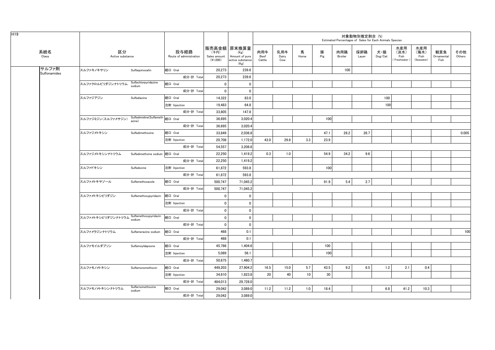| H <sub>19</sub>       |                                                |                                            |                                 |                                    |                                                                   |                       |                     |            |          | Estimated Percentages of Sales for Each Animals Species | 対象動物別推定割合(%) |                                    |                                      |                                   |                           |               |
|-----------------------|------------------------------------------------|--------------------------------------------|---------------------------------|------------------------------------|-------------------------------------------------------------------|-----------------------|---------------------|------------|----------|---------------------------------------------------------|--------------|------------------------------------|--------------------------------------|-----------------------------------|---------------------------|---------------|
| 系統名<br>Class          | 区分<br>Active substance                         |                                            | 投与経路<br>Route of administration | (千円)<br>Sales amount<br>$(*1,000)$ | 販売高金額 原末換算量<br>(Kg)<br>Amount of pure<br>active substance<br>(Kg) | 肉用牛<br>Beef<br>Cattle | 乳用牛<br>Dairy<br>Cow | 馬<br>Horse | 豚<br>Pig | 肉用鶏<br>Broiler                                          | 採卵鶏<br>Layer | 犬・猫<br>$\mathsf{Dog}/\mathsf{Cat}$ | 水産用<br>(淡水)<br>Fish<br>(Freshwater ) | 水産用<br>(海水)<br>Fish<br>(Seawater) | 観賞魚<br>Ornamental<br>Fish | その他<br>Others |
| サルファ剤<br>Sulfonamides | スルファキノキサリン                                     | Sulfaquinoxalin                            | 経口 Oral                         | 20,273                             | 239.6                                                             |                       |                     |            |          | 100                                                     |              |                                    |                                      |                                   |                           |               |
|                       |                                                |                                            | 成分·計 Total                      | 20,273                             | 239.6                                                             |                       |                     |            |          |                                                         |              |                                    |                                      |                                   |                           |               |
|                       | スルファクロルピリダジンナトリウム Sulfacni                     | Sulfachlorpyridazine                       | 経口 Oral                         | $\mathbf{0}$                       | $\mathbf 0$                                                       |                       |                     |            |          |                                                         |              |                                    |                                      |                                   |                           |               |
|                       |                                                |                                            | 成分·計 Total                      | $\mathbf 0$                        | $\mathbf 0$                                                       |                       |                     |            |          |                                                         |              |                                    |                                      |                                   |                           |               |
|                       | スルファジアジン                                       | Sulfadiazine                               | 経口 Oral                         | 14,322                             | 83.0                                                              |                       |                     |            |          |                                                         |              | 100                                |                                      |                                   |                           |               |
|                       |                                                |                                            | 注射 Injection                    | 19,483                             | 64.8                                                              |                       |                     |            |          |                                                         |              | 100                                |                                      |                                   |                           |               |
|                       |                                                |                                            | 成分·計 Total                      | 33,805                             | 147.8                                                             |                       |                     |            |          |                                                         |              |                                    |                                      |                                   |                           |               |
|                       | スルファジミジン (スルファメサジン)                            | Sulfadimidine(Sulfameth  経口 Oral<br>azine) |                                 | 36,695                             | 3,020.4                                                           |                       |                     |            | 100      |                                                         |              |                                    |                                      |                                   |                           |               |
|                       |                                                |                                            | 成分·計 Total                      | 36,695                             | 3,020.4                                                           |                       |                     |            |          |                                                         |              |                                    |                                      |                                   |                           |               |
|                       | スルファジメトキシン                                     | Sulfadimethoxine                           | 経口 Oral                         | 33.849                             | 2.036.8                                                           |                       |                     |            | 47.1     | 26.2                                                    | 26.7         |                                    |                                      |                                   |                           | 0.005         |
|                       |                                                |                                            | 注射 Injection                    | 20,708                             | 1,172.0                                                           | 43.0                  | 29.8                | 3.3        | 23.9     |                                                         |              |                                    |                                      |                                   |                           |               |
|                       |                                                |                                            | 成分·計 Total                      | 54,557                             | 3,208.8                                                           |                       |                     |            |          |                                                         |              |                                    |                                      |                                   |                           |               |
|                       | スルファジメトキシンナトリウム Sulfadimethxine sodium 経口 Oral |                                            |                                 | 22,250                             | 1,419.2                                                           | 0.3                   | 1.0                 |            | 54.9     | 34.2                                                    | 9.6          |                                    |                                      |                                   |                           |               |
|                       |                                                |                                            | 成分·計 Total                      | 22,250                             | 1,419.2                                                           |                       |                     |            |          |                                                         |              |                                    |                                      |                                   |                           |               |
|                       | スルファドキシン                                       | Sulfadoxine                                | 注射 Injection                    | 61,872                             | 593.8                                                             |                       |                     |            | 100      |                                                         |              |                                    |                                      |                                   |                           |               |
|                       |                                                |                                            | 成分·計 Total                      | 61,872                             | 593.8                                                             |                       |                     |            |          |                                                         |              |                                    |                                      |                                   |                           |               |
|                       | スルファメトキサゾール                                    | Sulfamethoxazole                           | 経口 Oral                         | 500,747                            | 71,045.2                                                          |                       |                     |            | 91.9     | 5.4                                                     | 2.7          |                                    |                                      |                                   |                           |               |
|                       |                                                |                                            | 成分·計 Total                      | 500,747                            | 71,045.2                                                          |                       |                     |            |          |                                                         |              |                                    |                                      |                                   |                           |               |
|                       | スルファメトキシピリダジン                                  | Sulfamethoxypyridazin                      | 経口 Oral                         | $\mathbf{0}$                       | $\mathbf 0$                                                       |                       |                     |            |          |                                                         |              |                                    |                                      |                                   |                           |               |
|                       |                                                |                                            | 注射 Injection                    | $\mathbf{0}$                       | $\mathbf{0}$                                                      |                       |                     |            |          |                                                         |              |                                    |                                      |                                   |                           |               |
|                       |                                                |                                            | 成分·計 Total                      | $\mathbf{0}$                       | $\mathbf 0$                                                       |                       |                     |            |          |                                                         |              |                                    |                                      |                                   |                           |               |
|                       | スルファメトキシピリダジンナトリウム Sulfamethoxypyridazin       |                                            | 経口 Oral                         | $\mathbf 0$                        | $\mathbf 0$                                                       |                       |                     |            |          |                                                         |              |                                    |                                      |                                   |                           |               |
|                       |                                                |                                            | 成分·計 Total                      | $\mathbf 0$                        | $\mathbf{0}$                                                      |                       |                     |            |          |                                                         |              |                                    |                                      |                                   |                           |               |
|                       | スルファメラジンナトリウム                                  | Sulfamerazine sodium                       | 経口 Oral                         | 468                                | 0.1                                                               |                       |                     |            |          |                                                         |              |                                    |                                      |                                   |                           | 100           |
|                       |                                                |                                            | 成分·計 Total                      | 468                                | 0.1                                                               |                       |                     |            |          |                                                         |              |                                    |                                      |                                   |                           |               |
|                       | スルファモイルダプソン                                    | SulfamoyIdapsone                           | 経口 Oral                         | 45,786                             | 1,404.6                                                           |                       |                     |            | 100      |                                                         |              |                                    |                                      |                                   |                           |               |
|                       |                                                |                                            | 注射 Injection                    | 5,089                              | 56.1                                                              |                       |                     |            | 100      |                                                         |              |                                    |                                      |                                   |                           |               |
|                       |                                                |                                            | 成分·計 Total                      | 50,875                             | 1,460.7                                                           |                       |                     |            |          |                                                         |              |                                    |                                      |                                   |                           |               |
|                       | スルファモノメトキシン                                    | Sulfamonomethoxin                          | 経口 Oral                         | 449,203                            | 27,904.2                                                          | 16.5                  | 15.0                | 5.7        | 43.5     | 9.2                                                     | 6.5          | 1.2                                | 2.1                                  | 0.4                               |                           |               |
|                       |                                                |                                            | 注射 Injection                    | 34,810                             | 1,823.8                                                           | 20                    | 40                  | 10         | 30       |                                                         |              |                                    |                                      |                                   |                           |               |
|                       |                                                |                                            | 成分·計 Total                      | 484,013                            | 29,728.0                                                          |                       |                     |            |          |                                                         |              |                                    |                                      |                                   |                           |               |
|                       | スルファモノメトキシンナトリウム                               | Sulfarnomethoxine<br>sodium                | 経口 Oral                         | 29,042                             | 3,089.0                                                           | 11.2                  | 11.2                | 1.0        | 18.4     |                                                         |              | 6.8                                | 41.2                                 | 10.3                              |                           |               |
|                       |                                                |                                            | 成分·計 Total                      | 29.042                             | 3,089.0                                                           |                       |                     |            |          |                                                         |              |                                    |                                      |                                   |                           |               |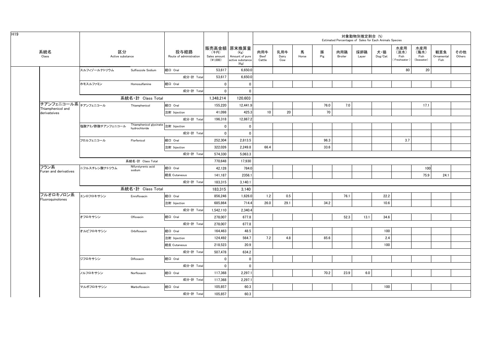|                                   |                        |                                                       |                                 |                                    |                                                                   |                       |                     |            |          |                | 対象動物別推定割合 (%)<br>Estimated Percentages of Sales for Each Animals Species |                                    |                                    |                                   |                           |               |
|-----------------------------------|------------------------|-------------------------------------------------------|---------------------------------|------------------------------------|-------------------------------------------------------------------|-----------------------|---------------------|------------|----------|----------------|--------------------------------------------------------------------------|------------------------------------|------------------------------------|-----------------------------------|---------------------------|---------------|
| 系統名<br>Class                      | 区分<br>Active substance |                                                       | 投与経路<br>Route of administration | (千円)<br>Sales amount<br>$(*1,000)$ | 販売高金額 原末換算量<br>(Kg)<br>Amount of pure<br>active substance<br>(Kg) | 肉用牛<br>Beef<br>Cattle | 乳用牛<br>Dairy<br>Cow | 馬<br>Horse | 豚<br>Pig | 肉用鶏<br>Broiler | 採卵鶏<br>Layer                                                             | 犬・猫<br>$\mathsf{Dog}/\mathsf{Cat}$ | 水産用<br>(淡水)<br>Fish<br>Freshwater) | 水産用<br>(海水)<br>Fish<br>(Seawater) | 観賞魚<br>Ornamental<br>Fish | その他<br>Others |
|                                   | スルフィゾールナトリウム           | Sulfisozole Sodium                                    | 経口 Oral                         | 53,617                             | 6,650.0                                                           |                       |                     |            |          |                |                                                                          |                                    | 80                                 | 20                                |                           |               |
|                                   |                        |                                                       | 成分·計 Total                      | 53,617                             | 6,650.0                                                           |                       |                     |            |          |                |                                                                          |                                    |                                    |                                   |                           |               |
|                                   | ホモスルファミン               | Homosulfamine                                         | 経口 Oral                         | $\overline{0}$                     | $\mathbf 0$                                                       |                       |                     |            |          |                |                                                                          |                                    |                                    |                                   |                           |               |
|                                   |                        |                                                       | 成分·計 Total                      | 0                                  | $\mathbf 0$                                                       |                       |                     |            |          |                |                                                                          |                                    |                                    |                                   |                           |               |
|                                   |                        | 系統名·計 Class Total                                     |                                 | 1,348,214                          | 120,603                                                           |                       |                     |            |          |                |                                                                          |                                    |                                    |                                   |                           |               |
| チアンフェニコール系 チアンフェニコール              |                        | Thiamphenicol                                         | 経口 Oral                         | 155,220                            | 12,441.9                                                          |                       |                     |            | 76.0     | 7.0            |                                                                          |                                    |                                    | 17.1                              |                           |               |
| Thiamphenicol and<br>derivateives |                        |                                                       | 注射 Injection                    | 41,098                             | 425.3                                                             | 10                    | 20                  |            | 70       |                |                                                                          |                                    |                                    |                                   |                           |               |
|                                   |                        |                                                       | 成分·計 Total                      | 196,318                            | 12,867.2                                                          |                       |                     |            |          |                |                                                                          |                                    |                                    |                                   |                           |               |
|                                   | 塩酸アミノ酢酸チアンフェニコール       | Thiamphenicol glycinate 注射 Injection<br>hydrochloride |                                 | $\overline{\mathbf{0}}$            | $\mathbf 0$                                                       |                       |                     |            |          |                |                                                                          |                                    |                                    |                                   |                           |               |
|                                   |                        |                                                       | 成分·計 Total                      | $\overline{0}$                     | $\overline{\mathbf{0}}$                                           |                       |                     |            |          |                |                                                                          |                                    |                                    |                                   |                           |               |
|                                   | フロルフェニコール              | Florfenicol                                           | 経口 Oral                         | 252,304                            | 2,813.5                                                           |                       |                     |            | 96.3     |                |                                                                          |                                    | 3.7                                |                                   |                           |               |
|                                   |                        |                                                       | 注射 Injection                    | 322,026                            | 2,249.8                                                           | 66.4                  |                     |            | 33.6     |                |                                                                          |                                    |                                    |                                   |                           |               |
|                                   |                        |                                                       | 成分·計 Total                      | 574,330                            | 5,063.3                                                           |                       |                     |            |          |                |                                                                          |                                    |                                    |                                   |                           |               |
|                                   |                        | 系統名·計 Class Total                                     |                                 | 770.648                            | 17,930                                                            |                       |                     |            |          |                |                                                                          |                                    |                                    |                                   |                           |               |
| フラン系                              | ニフルスチレン酸ナトリウム          | Nifurstyrenic acid<br>sodium                          | 経口 Oral                         | 42,128                             | 784.0                                                             |                       |                     |            |          |                |                                                                          |                                    |                                    | 100                               |                           |               |
| Furan and derivatives             |                        |                                                       | 経皮 Cutaneous                    | 141,187                            | 2356.1                                                            |                       |                     |            |          |                |                                                                          |                                    |                                    | 75.9                              | 24.1                      |               |
|                                   |                        |                                                       | 成分·計 Total                      | 183,315                            | 3,140.1                                                           |                       |                     |            |          |                |                                                                          |                                    |                                    |                                   |                           |               |
|                                   |                        | 系統名·計 Class Total                                     |                                 | 183,315                            | 3,140                                                             |                       |                     |            |          |                |                                                                          |                                    |                                    |                                   |                           |               |
| フルオロキノロン系<br>Fluoroquinolones     | エンロフロキサシン              | Enrofloxacin                                          | 経口 Oral                         | 856.246                            | 1,626.0                                                           | 1.2                   | 0.5                 |            |          | 76.1           |                                                                          | 22.2                               |                                    |                                   |                           |               |
|                                   |                        |                                                       | 注射 Injection                    | 685,864                            | 714.4                                                             | 26.0                  | 29.1                |            | 34.2     |                |                                                                          | 10.6                               |                                    |                                   |                           |               |
|                                   |                        |                                                       | 成分·計 Total                      | 1,542,110                          | 2,340.4                                                           |                       |                     |            |          |                |                                                                          |                                    |                                    |                                   |                           |               |
|                                   | オフロキサシン                | Ofloxacin                                             | 経口 Oral                         | 278,007                            | 677.8                                                             |                       |                     |            |          | 52.3           | 13.1                                                                     | 34.6                               |                                    |                                   |                           |               |
|                                   |                        |                                                       | 成分·計 Total                      | 278,007                            | 677.8                                                             |                       |                     |            |          |                |                                                                          |                                    |                                    |                                   |                           |               |
|                                   | オルビフロキサシン              | Orbifloxacin                                          | 経口 Oral                         | 164.463                            | 48.5                                                              |                       |                     |            |          |                |                                                                          | 100                                |                                    |                                   |                           |               |
|                                   |                        |                                                       | 注射 Injection                    | 124.492                            | 564.7                                                             | 7.2                   | 4.8                 |            | 85.6     |                |                                                                          | 2.4                                |                                    |                                   |                           |               |
|                                   |                        |                                                       | 経皮 Cutaneous                    | 218,523                            | 20.9                                                              |                       |                     |            |          |                |                                                                          | 100                                |                                    |                                   |                           |               |
|                                   |                        |                                                       | 成分·計 Total                      | 507,478                            | 634.2                                                             |                       |                     |            |          |                |                                                                          |                                    |                                    |                                   |                           |               |
|                                   | ジフロキサシン                | Difloxacin                                            | 経口 Oral                         | $\overline{\mathbf{0}}$            | $\mathbf 0$                                                       |                       |                     |            |          |                |                                                                          |                                    |                                    |                                   |                           |               |
|                                   |                        |                                                       | 成分·計 Total                      | 0                                  | $\mathbf 0$                                                       |                       |                     |            |          |                |                                                                          |                                    |                                    |                                   |                           |               |
|                                   | ノルフロキサシン               | Norfloxacin                                           | 経口 Oral                         | 117.368                            | 2,297.1                                                           |                       |                     |            | 70.2     | 23.9           | 6.0                                                                      |                                    |                                    |                                   |                           |               |
|                                   |                        |                                                       | 成分·計 Total                      | 117,368                            | 2,297.1                                                           |                       |                     |            |          |                |                                                                          |                                    |                                    |                                   |                           |               |
|                                   | マルボフロキサシン              | Marbofloxacin                                         | 経口 Oral                         | 105,857                            | 60.3                                                              |                       |                     |            |          |                |                                                                          | 100                                |                                    |                                   |                           |               |
|                                   |                        |                                                       | 成分·計 Total                      | 105.857                            | 60.3                                                              |                       |                     |            |          |                |                                                                          |                                    |                                    |                                   |                           |               |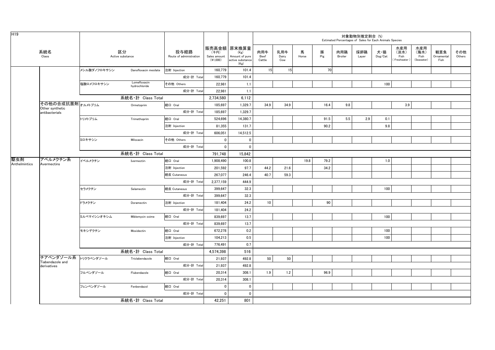| H19                  |                                     |                                 |                               |                                 |                                  |                                                                   |                       |                     |            |          |                | 対象動物別推定割合 (%) | Estimated Percentages of Sales for Each Animals Species |                                    |                                   |                           |               |
|----------------------|-------------------------------------|---------------------------------|-------------------------------|---------------------------------|----------------------------------|-------------------------------------------------------------------|-----------------------|---------------------|------------|----------|----------------|---------------|---------------------------------------------------------|------------------------------------|-----------------------------------|---------------------------|---------------|
|                      | 系統名<br>Class                        |                                 | 区分<br>Active substance        | 投与経路<br>Route of administration | (千円)<br>Sales amount<br>(41,000) | 販売高金額 原末換算量<br>(Kg)<br>Amount of pure<br>active substance<br>(Kg) | 肉用牛<br>Beef<br>Cattle | 乳用牛<br>Dairy<br>Cow | 馬<br>Horse | 豚<br>Pig | 肉用鶏<br>Broiler | 採卵鶏<br>Layer  | 犬・猫<br>$\mathsf{Dog}/\mathsf{Cat}$                      | 水産用<br>(淡水)<br>Fish<br>Freshwater) | 水産用<br>(海水)<br>Fish<br>(Seawater) | 観賞魚<br>Ornamental<br>Fish | その他<br>Others |
|                      |                                     | メシル酸ダノフロキサシン                    | Danofloxacin mesilate         | 注射 Injection                    | 160,779                          | 101.4                                                             | 15                    | 15                  |            | 70       |                |               |                                                         |                                    |                                   |                           |               |
|                      |                                     |                                 |                               | 成分·計 Total                      | 160,779                          | 101.4                                                             |                       |                     |            |          |                |               |                                                         |                                    |                                   |                           |               |
|                      |                                     | 塩酸ロメフロキサシン                      | Lomefloxacin<br>hydrochloride | その他 Others                      | 22,981                           | 1.1                                                               |                       |                     |            |          |                |               | 100                                                     |                                    |                                   |                           |               |
|                      |                                     |                                 |                               | 成分·計 Total                      | 22,981                           | 1.1                                                               |                       |                     |            |          |                |               |                                                         |                                    |                                   |                           |               |
|                      |                                     |                                 | 系統名·計 Class Total             |                                 | 2.734.580                        | 6.112                                                             |                       |                     |            |          |                |               |                                                         |                                    |                                   |                           |               |
|                      | その他の合成抗菌剤オルメトプリム<br>Other synthetic |                                 | Ormetoprim                    | 経口 Oral                         | 185,697                          | 1,329.7                                                           | 34.9                  | 34.9                |            | 16.4     | 9.8            |               |                                                         | 3.9                                |                                   |                           |               |
|                      | antibacterials                      |                                 |                               | 成分·計 Total                      | 185,697                          | 1,329.7                                                           |                       |                     |            |          |                |               |                                                         |                                    |                                   |                           |               |
|                      |                                     | トリメトプリム                         | Trimethoprim                  | 経口 Oral                         | 524,696                          | 14,380.7                                                          |                       |                     |            | 91.5     | 5.5            | 2.9           | 0.1                                                     |                                    |                                   |                           |               |
|                      |                                     |                                 |                               | 注射 Injection                    | 81.355                           | 131.7                                                             |                       |                     |            | 90.2     |                |               | 9.8                                                     |                                    |                                   |                           |               |
|                      |                                     |                                 |                               | 成分·計 Total                      | 606,051                          | 14,512.5                                                          |                       |                     |            |          |                |               |                                                         |                                    |                                   |                           |               |
|                      |                                     | ミロキサシン                          | Miloxacin                     | その他 Others                      | $\mathbf 0$                      | 0                                                                 |                       |                     |            |          |                |               |                                                         |                                    |                                   |                           |               |
|                      |                                     |                                 |                               | 成分·計 Total                      | $\mathbf 0$                      | $\mathbf 0$                                                       |                       |                     |            |          |                |               |                                                         |                                    |                                   |                           |               |
|                      |                                     | 系統名·計 Class Total<br>Ivermectin |                               | 791,748                         | 15,842                           |                                                                   |                       |                     |            |          |                |               |                                                         |                                    |                                   |                           |               |
| 駆虫剤<br>Anthelmintics | アベルメクチン系<br>Avermectins             | イベルメクチン                         |                               | 経口 Oral                         | 1,908,490                        | 100.8                                                             |                       |                     | 19.8       | 79.2     |                |               | 1.0                                                     |                                    |                                   |                           |               |
|                      |                                     |                                 |                               | 注射 Injection                    | 201,592                          | 97.7                                                              | 44.2                  | 21.6                |            | 34.2     |                |               |                                                         |                                    |                                   |                           |               |
|                      |                                     |                                 |                               | 経皮 Cutaneous                    | 267,077                          | 246.4                                                             | 40.7                  | 59.3                |            |          |                |               |                                                         |                                    |                                   |                           |               |
|                      |                                     |                                 |                               | 成分·計 Total                      | 2,377,159                        | 444.9                                                             |                       |                     |            |          |                |               |                                                         |                                    |                                   |                           |               |
|                      |                                     | セラメクチン                          | Selamectin                    | 経皮 Cutaneous                    | 399,647                          | 32.3                                                              |                       |                     |            |          |                |               | 100                                                     |                                    |                                   |                           |               |
|                      |                                     |                                 |                               | 成分·計 Total                      | 399,647                          | 32.3                                                              |                       |                     |            |          |                |               |                                                         |                                    |                                   |                           |               |
|                      |                                     | ドラメクチン                          | Doramectin                    | 注射 Injection                    | 181,404                          | 24.2                                                              | 10                    |                     |            | 90       |                |               |                                                         |                                    |                                   |                           |               |
|                      |                                     |                                 |                               | 成分·計 Total                      | 181,404                          | 24.2                                                              |                       |                     |            |          |                |               |                                                         |                                    |                                   |                           |               |
|                      |                                     | ミルベマイシンオキシム                     | Miblemycin oxime              | 経口 Oral                         | 839,697                          | 13.7                                                              |                       |                     |            |          |                |               | 100                                                     |                                    |                                   |                           |               |
|                      |                                     |                                 |                               | 成分·計 Total                      | 839,697                          | 13.7                                                              |                       |                     |            |          |                |               |                                                         |                                    |                                   |                           |               |
|                      |                                     | モキシデクチン                         | Moxidectin                    | 経口 Oral                         | 672,278                          | 0.2                                                               |                       |                     |            |          |                |               | 100                                                     |                                    |                                   |                           |               |
|                      |                                     |                                 |                               | 注射 Injection                    | 104,213                          | 0.5                                                               |                       |                     |            |          |                |               | 100                                                     |                                    |                                   |                           |               |
|                      |                                     |                                 |                               | 成分·計 Total                      | 776,491                          | 0.7                                                               |                       |                     |            |          |                |               |                                                         |                                    |                                   |                           |               |
|                      |                                     |                                 | 系統名·計 Class Total             |                                 | 4,574,398                        | 516                                                               |                       |                     |            |          |                |               |                                                         |                                    |                                   |                           |               |
|                      | チアベンダゾール系<br>Tiabendazole and       | トリクラベンダゾール                      | Triclabendazole               | 経口 Oral                         | 21,937                           | 492.8                                                             | 50                    | 50                  |            |          |                |               |                                                         |                                    |                                   |                           |               |
|                      | derivatives                         |                                 |                               | 成分·計 Total                      | 21,937                           | 492.8                                                             |                       |                     |            |          |                |               |                                                         |                                    |                                   |                           |               |
|                      |                                     | フルベンダゾール                        | Flubendazole                  | 経口 Oral                         | 20,314                           | 308.1                                                             | 1.9                   | 1.2                 |            | 96.9     |                |               |                                                         |                                    |                                   |                           |               |
|                      |                                     |                                 |                               | 成分·計 Total                      | 20,314                           | 308.1                                                             |                       |                     |            |          |                |               |                                                         |                                    |                                   |                           |               |
|                      |                                     | フェンベンダゾール                       | Fenbendazol                   | 経口 Oral                         | $\mathbf 0$                      | $\mathbf{0}$                                                      |                       |                     |            |          |                |               |                                                         |                                    |                                   |                           |               |
|                      |                                     |                                 |                               | 成分·計 Total                      | $\mathbf 0$                      | $\mathbf 0$                                                       |                       |                     |            |          |                |               |                                                         |                                    |                                   |                           |               |
|                      | 系統名·計 Class Total                   |                                 |                               |                                 | 42,251                           | 801                                                               |                       |                     |            |          |                |               |                                                         |                                    |                                   |                           |               |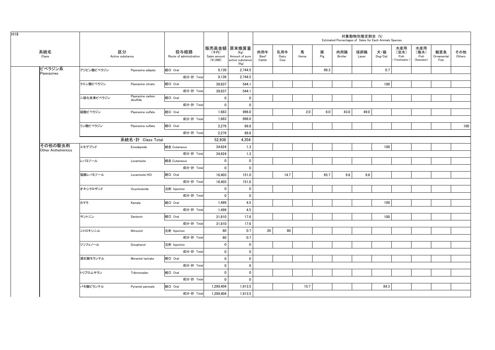| H <sub>19</sub>                       |            |                                |                                 |                                    |                                                                   |                       |                     |            |          | Estimated Percentages of Sales for Each Animals Species | 対象動物別推定割合 (%) |                |                                     |                                   |                           |               |
|---------------------------------------|------------|--------------------------------|---------------------------------|------------------------------------|-------------------------------------------------------------------|-----------------------|---------------------|------------|----------|---------------------------------------------------------|---------------|----------------|-------------------------------------|-----------------------------------|---------------------------|---------------|
| 系統名<br>Class                          |            | 区分<br>Active substance         | 投与経路<br>Route of administration | (千円)<br>Sales amount<br>$(*1,000)$ | 販売高金額 原末換算量<br>(Kg)<br>Amount of pure<br>active substance<br>(Kg) | 肉用牛<br>Beef<br>Cattle | 乳用牛<br>Dairy<br>Cow | 馬<br>Horse | 豚<br>Pig | 肉用鶏<br>Broiler                                          | 採卵鶏<br>Layer  | 犬・猫<br>Dog/Cat | 水産用<br>(淡水)<br>Fish<br>(Freshwater) | 水産用<br>(海水)<br>Fish<br>(Seawater) | 観賞魚<br>Ornamental<br>Fish | その他<br>Others |
| ピペラジン系<br>Piperazines                 | アジピン酸ピペラジン | Piperazine adipate             | 経口 Oral                         | 9,139                              | 2,744.5                                                           |                       |                     |            | 99.3     |                                                         |               | 0.7            |                                     |                                   |                           |               |
|                                       |            |                                | 成分·計 Total                      | 9,139                              | 2,744.5                                                           |                       |                     |            |          |                                                         |               |                |                                     |                                   |                           |               |
|                                       | クエン酸ピペラジン  | Piperazine citrate             | 経口 Oral                         | 39,837                             | 544.1                                                             |                       |                     |            |          |                                                         |               | 100            |                                     |                                   |                           |               |
|                                       |            |                                | 成分·計 Total                      | 39,837                             | 544.1                                                             |                       |                     |            |          |                                                         |               |                |                                     |                                   |                           |               |
|                                       | 二硫化炭素ピペラジン | Piperazine carbon<br>disulfide | 経口 Oral                         | $\mathbf{0}$                       | $\mathbf{0}$                                                      |                       |                     |            |          |                                                         |               |                |                                     |                                   |                           |               |
|                                       |            |                                | 成分·計 Total                      | $\mathbf 0$                        | $\mathbf 0$                                                       |                       |                     |            |          |                                                         |               |                |                                     |                                   |                           |               |
|                                       | 硫酸ピペラジン    | Piperazine sulfate             | 経口 Oral                         | 1,683                              | 996.0                                                             |                       |                     | 2.0        | 6.0      | 43.0                                                    | 49.0          |                |                                     |                                   |                           |               |
|                                       |            |                                | 成分·計 Total                      | 1,683                              | 996.0                                                             |                       |                     |            |          |                                                         |               |                |                                     |                                   |                           |               |
|                                       | リン酸ピペラジン   | Piperazine sulfate             | 経口 Oral                         | 2,279                              | 69.8                                                              |                       |                     |            |          |                                                         |               |                |                                     |                                   |                           | 100           |
|                                       |            |                                | 成分·計 Total                      | 2,279                              | 69.8                                                              |                       |                     |            |          |                                                         |               |                |                                     |                                   |                           |               |
|                                       |            | 系統名·計 Class Total              |                                 | 52,938                             | 4,354                                                             |                       |                     |            |          |                                                         |               |                |                                     |                                   |                           |               |
| その他の駆虫剤<br><b>Other Anthelmintics</b> | エモデプシド     | Emodepside                     | 経皮 Cutaneous                    | 34,624                             | 1.3                                                               |                       |                     |            |          |                                                         |               | 100            |                                     |                                   |                           |               |
|                                       |            |                                | 成分·計 Total                      | 34,624                             | 1.3                                                               |                       |                     |            |          |                                                         |               |                |                                     |                                   |                           |               |
|                                       | レバミゾール     | Levamisole                     | 経皮 Cutaneous                    | $\mathbf 0$                        | $\mathbf 0$                                                       |                       |                     |            |          |                                                         |               |                |                                     |                                   |                           |               |
|                                       |            |                                | 成分·計 Total                      | $\mathbf 0$                        | $\mathbf 0$                                                       |                       |                     |            |          |                                                         |               |                |                                     |                                   |                           |               |
|                                       | 塩酸レバミゾール   | Levamisole HCI                 | 経口 Oral                         | 16,403                             | 151.0                                                             |                       | 14.7                |            | 65.7     | 9.8                                                     | 9.8           |                |                                     |                                   |                           |               |
|                                       |            |                                | 成分·計 Total                      | 16,403                             | 151.0                                                             |                       |                     |            |          |                                                         |               |                |                                     |                                   |                           |               |
|                                       | オキシクロザニド   | Oxyclozanide                   | 注射 Injection                    | $\mathbf{0}$                       | $\mathbf 0$                                                       |                       |                     |            |          |                                                         |               |                |                                     |                                   |                           |               |
|                                       |            |                                | 成分·計 Total                      | $\mathbf{0}$                       | $\mathbf{0}$                                                      |                       |                     |            |          |                                                         |               |                |                                     |                                   |                           |               |
|                                       | カマラ        | Kamala                         | 経口 Oral                         | 1,499                              | 4.5                                                               |                       |                     |            |          |                                                         |               | 100            |                                     |                                   |                           |               |
|                                       |            |                                | 成分·計 Total                      | 1,499                              | 4.5                                                               |                       |                     |            |          |                                                         |               |                |                                     |                                   |                           |               |
|                                       | サントニン      | Santonin                       | 経口 Oral                         | 31,810                             | 17.6                                                              |                       |                     |            |          |                                                         |               | 100            |                                     |                                   |                           |               |
|                                       |            |                                | 成分·計 Total                      | 31,810                             | 17.6                                                              |                       |                     |            |          |                                                         |               |                |                                     |                                   |                           |               |
|                                       | ニトロキシニル    | Nitroxinil                     | 注射 Injection                    | 60                                 | 0.7                                                               | 20                    | 80                  |            |          |                                                         |               |                |                                     |                                   |                           |               |
|                                       |            |                                | 成分·計 Total                      | 60                                 | 0.7                                                               |                       |                     |            |          |                                                         |               |                |                                     |                                   |                           |               |
|                                       | ジソフェノール    | Disophenol                     | 注射 Injection                    | $\mathbf 0$                        | $\mathbf 0$                                                       |                       |                     |            |          |                                                         |               |                |                                     |                                   |                           |               |
|                                       |            |                                | 成分·計 Total                      | $\mathbf 0$                        | $\mathbf 0$                                                       |                       |                     |            |          |                                                         |               |                |                                     |                                   |                           |               |
|                                       | 酒石酸モランテル   | Morantel tartrate              | 経口 Oral                         | $\mathbf 0$                        | $\mathbf 0$                                                       |                       |                     |            |          |                                                         |               |                |                                     |                                   |                           |               |
|                                       |            |                                | 成分·計 Total                      | $\mathbf 0$                        | $\mathbf 0$                                                       |                       |                     |            |          |                                                         |               |                |                                     |                                   |                           |               |
|                                       | トリブロムサラン   | Tribromsalan                   | 経口 Oral                         | $\mathbf 0$                        | $\mathbf 0$                                                       |                       |                     |            |          |                                                         |               |                |                                     |                                   |                           |               |
|                                       |            |                                | 成分·計 Total                      | $\mathbf 0$                        | $\mathbf 0$                                                       |                       |                     |            |          |                                                         |               |                |                                     |                                   |                           |               |
|                                       | パモ酸ピランテル   | Pyrantel pamoate               | 経口 Oral                         | 1,299,404                          | 1,913.5                                                           |                       |                     | 15.7       |          |                                                         |               | 84.3           |                                     |                                   |                           |               |
|                                       |            |                                | 成分·計 Total                      | 1.299.404                          | 1.913.5                                                           |                       |                     |            |          |                                                         |               |                |                                     |                                   |                           |               |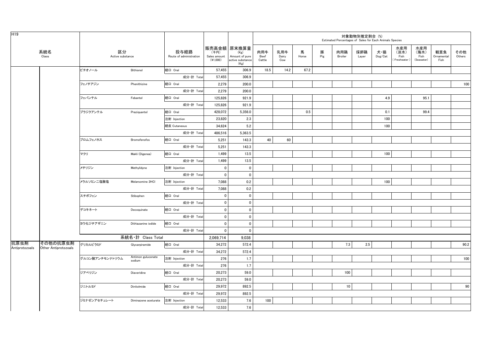| H <sub>19</sub> |                      |                        |                              |                                 |                                    |                                                                   |                       |                     |            |          |                 | 対象動物別推定割合 (%) | Estimated Percentages of Sales for Each Animals Species |                                   |                                   |                           |               |
|-----------------|----------------------|------------------------|------------------------------|---------------------------------|------------------------------------|-------------------------------------------------------------------|-----------------------|---------------------|------------|----------|-----------------|---------------|---------------------------------------------------------|-----------------------------------|-----------------------------------|---------------------------|---------------|
|                 | 系統名<br>Class         | 区分<br>Active substance |                              | 投与経路<br>Route of administration | (千円)<br>Sales amount<br>$(*1,000)$ | 販売高金額 原末換算量<br>(Kg)<br>Amount of pure<br>active substance<br>(Kg) | 肉用牛<br>Beef<br>Cattle | 乳用牛<br>Dairy<br>Cow | 馬<br>Horse | 豚<br>Pig | 肉用鶏<br>Broiler  | 採卵鶏<br>Layer  | 犬・猫<br>Dog/Cat                                          | 水産用<br>(淡水)<br>Fish<br>Freshwater | 水産用<br>(海水)<br>Fish<br>(Seawater) | 観賞魚<br>Ornamental<br>Fish | その他<br>Others |
|                 |                      | ビチオノール                 | Bithionol                    | 経口 Oral                         | 57,455                             | 306.9                                                             | 18.5                  | 14.2                | 67.2       |          |                 |               |                                                         |                                   |                                   |                           |               |
|                 |                      |                        |                              | 成分·計 Total                      | 57,455                             | 306.9                                                             |                       |                     |            |          |                 |               |                                                         |                                   |                                   |                           |               |
|                 |                      | フェノチアジン                | Phenithizine                 | 経口 Oral                         | 2,279                              | 200.0                                                             |                       |                     |            |          |                 |               |                                                         |                                   |                                   |                           | 100           |
|                 |                      |                        |                              | 成分·計 Total                      | 2,279                              | 200.0                                                             |                       |                     |            |          |                 |               |                                                         |                                   |                                   |                           |               |
|                 |                      | フェバンテル                 | Febantel                     | 経口 Oral                         | 125,826                            | 921.9                                                             |                       |                     |            |          |                 |               | 4.9                                                     |                                   | 95.1                              |                           |               |
|                 |                      |                        |                              | 成分·計 Tota                       | 125,826                            | 921.9                                                             |                       |                     |            |          |                 |               |                                                         |                                   |                                   |                           |               |
|                 |                      | プラジクアンテル               | Praziquantel                 | 経口 Oral                         | 428,072                            | 5,356.0                                                           |                       |                     | 0.5        |          |                 |               | 0.1                                                     |                                   | 99.4                              |                           |               |
|                 |                      |                        |                              | 注射 Injection                    | 23,820                             | 2.3                                                               |                       |                     |            |          |                 |               | 100                                                     |                                   |                                   |                           |               |
|                 |                      |                        |                              | 経皮 Cutaneous                    | 34,624                             | 5.2                                                               |                       |                     |            |          |                 |               | 100                                                     |                                   |                                   |                           |               |
|                 |                      |                        |                              | 成分·計 Total                      | 486,516                            | 5,363.5                                                           |                       |                     |            |          |                 |               |                                                         |                                   |                                   |                           |               |
|                 |                      | ブロムフェノホス               | Bromofenofos                 | 経口 Oral                         | 5,251                              | 143.3                                                             | 40                    | 60                  |            |          |                 |               |                                                         |                                   |                                   |                           |               |
|                 |                      |                        |                              | 成分·計 Total                      | 5,251                              | 143.3                                                             |                       |                     |            |          |                 |               |                                                         |                                   |                                   |                           |               |
|                 |                      | マクリ                    | Makli (Digenea)              | 経口 Oral                         | 1,499                              | 13.5                                                              |                       |                     |            |          |                 |               | 100                                                     |                                   |                                   |                           |               |
|                 |                      |                        |                              | 成分·計 Total                      | 1,499                              | 13.5                                                              |                       |                     |            |          |                 |               |                                                         |                                   |                                   |                           |               |
|                 |                      | メチリジン                  | Methylidyne                  | 注射 Injection                    | $\mathbf 0$                        | $\pmb{0}$                                                         |                       |                     |            |          |                 |               |                                                         |                                   |                                   |                           |               |
|                 |                      |                        |                              | 成分·計 Total                      | $\mathbf 0$                        | $\mathbf 0$                                                       |                       |                     |            |          |                 |               |                                                         |                                   |                                   |                           |               |
|                 |                      | メラルソミン二塩酸塩             | Melarsomine 2HCI             | 注射 Injection                    | 7,088                              | 0.2                                                               |                       |                     |            |          |                 |               | 100                                                     |                                   |                                   |                           |               |
|                 |                      |                        |                              | 成分·計 Total                      | 7,088                              | 0.2                                                               |                       |                     |            |          |                 |               |                                                         |                                   |                                   |                           |               |
|                 |                      | スチボフェン                 | Stibophen                    | 経口 Oral                         | $\mathbf 0$                        | $\mathbf 0$                                                       |                       |                     |            |          |                 |               |                                                         |                                   |                                   |                           |               |
|                 |                      |                        |                              | 成分·計 Total                      | $\mathbf 0$                        | $\mathbf 0$                                                       |                       |                     |            |          |                 |               |                                                         |                                   |                                   |                           |               |
|                 |                      | デコキネート                 | Decoquinate                  | 経口 Oral                         | $\pmb{0}$                          | $\mathbf 0$                                                       |                       |                     |            |          |                 |               |                                                         |                                   |                                   |                           |               |
|                 |                      |                        |                              | 成分·計 Total                      | $\pmb{0}$                          | $\pmb{0}$                                                         |                       |                     |            |          |                 |               |                                                         |                                   |                                   |                           |               |
|                 |                      | ヨウ化ジチアザニン              | Dithiazanine iodide          | 経口 Oral                         | $\mathbf 0$                        | $\mathbf 0$                                                       |                       |                     |            |          |                 |               |                                                         |                                   |                                   |                           |               |
|                 |                      |                        |                              | 成分·計 Total                      | $\mathbf 0$                        | $\mathbf 0$                                                       |                       |                     |            |          |                 |               |                                                         |                                   |                                   |                           |               |
|                 |                      |                        | 系統名·計 Class Total            |                                 | 2,069,714                          | 9.038                                                             |                       |                     |            |          |                 |               |                                                         |                                   |                                   |                           |               |
| 抗原虫剤            | その他の抗原虫剤             | グリカルピラミド               | Glycarpiramide               | 経口 Oral                         | 34,272                             | 572.4                                                             |                       |                     |            |          | 7.3             | 2.5           |                                                         |                                   |                                   |                           | 90.2          |
| Antiprotozoals  | Other Antiprotozoals |                        |                              | 成分·計 Total                      | 34,272                             | 572.4                                                             |                       |                     |            |          |                 |               |                                                         |                                   |                                   |                           |               |
|                 |                      | グルコン酸アンチモンナトリウム        | Antimon guluconate<br>sodium | 注射 Injection                    | 276                                | 1.7                                                               |                       |                     |            |          |                 |               |                                                         |                                   |                                   |                           | 100           |
|                 |                      |                        |                              | 成分·計 Total                      | 276                                | 1.7                                                               |                       |                     |            |          |                 |               |                                                         |                                   |                                   |                           |               |
|                 |                      | ジアベリジン                 | Diaveridine                  | 経口 Oral                         | 20,273                             | 59.0                                                              |                       |                     |            |          | 100             |               |                                                         |                                   |                                   |                           |               |
|                 |                      |                        |                              | 成分·計 Total                      | 20,273                             | 59.0                                                              |                       |                     |            |          |                 |               |                                                         |                                   |                                   |                           |               |
|                 |                      | ジニトルミド                 | Dinitolmide                  | 経口 Oral                         | 29,972                             | 892.5                                                             |                       |                     |            |          | 10 <sup>1</sup> |               |                                                         |                                   |                                   |                           | 90            |
|                 |                      |                        |                              | 成分·計 Total                      | 29,972                             | 892.5                                                             |                       |                     |            |          |                 |               |                                                         |                                   |                                   |                           |               |
|                 |                      | ジミナゼンアセチュレート           | Diminazene aceturate         | 注射 Injection                    | 12,533                             | 7.6                                                               | 100                   |                     |            |          |                 |               |                                                         |                                   |                                   |                           |               |
|                 |                      |                        |                              | 成分·計 Total                      | 12,533                             | 7.6                                                               |                       |                     |            |          |                 |               |                                                         |                                   |                                   |                           |               |